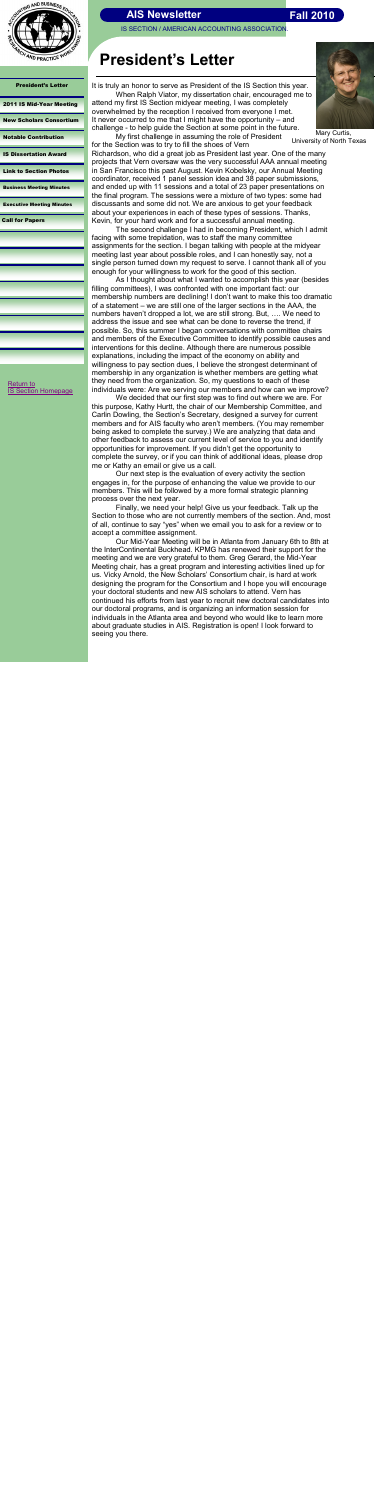IS SECTION / AMERICAN ACCOUNTING ASSOCIATION

[Return to](http://aaahq.org/infosys/index.html)  **[IS Section Homepage](http://aaahq.org/infosys/index.html)** 



| <b>President's Letter</b>        |
|----------------------------------|
| 2011 IS Mid-Year Meeting         |
| <b>New Scholars Consortium</b>   |
| <b>Notable Contribution</b>      |
| <b>IS Dissertation Award</b>     |
| <b>Link to Section Photos</b>    |
| <b>Business Meeting Minutes</b>  |
| <b>Executive Meeting Minutes</b> |
| <b>Call for Papers</b>           |
|                                  |
|                                  |
|                                  |
|                                  |
|                                  |

# **President's Letter**

 Mary Curtis, University of North Texas

### **Fall 2010**

<span id="page-0-0"></span>

It is truly an honor to serve as President of the IS Section this year. When Ralph Viator, my dissertation chair, encouraged me to attend my first IS Section midyear meeting, I was completely overwhelmed by the reception I received from everyone I met. It never occurred to me that I might have the opportunity – and challenge - to help guide the Section at some point in the future.

My first challenge in assuming the role of President for the Section was to try to fill the shoes of Vern

Richardson, who did a great job as President last year. One of the many projects that Vern oversaw was the very successful AAA annual meeting in San Francisco this past August. Kevin Kobelsky, our Annual Meeting coordinator, received 1 panel session idea and 38 paper submissions, and ended up with 11 sessions and a total of 23 paper presentations on the final program. The sessions were a mixture of two types: some had discussants and some did not. We are anxious to get your feedback about your experiences in each of these types of sessions. Thanks, Kevin, for your hard work and for a successful annual meeting.

The second challenge I had in becoming President, which I admit facing with some trepidation, was to staff the many committee assignments for the section. I began talking with people at the midyear meeting last year about possible roles, and I can honestly say, not a single person turned down my request to serve. I cannot thank all of you enough for your willingness to work for the good of this section.

As I thought about what I wanted to accomplish this year (besides filling committees), I was confronted with one important fact: our membership numbers are declining! I don't want to make this too dramatic of a statement – we are still one of the larger sections in the AAA, the numbers haven't dropped a lot, we are still strong. But, …. We need to address the issue and see what can be done to reverse the trend, if possible. So, this summer I began conversations with committee chairs and members of the Executive Committee to identify possible causes and interventions for this decline. Although there are numerous possible explanations, including the impact of the economy on ability and willingness to pay section dues, I believe the strongest determinant of membership in any organization is whether members are getting what they need from the organization. So, my questions to each of these individuals were: Are we serving our members and how can we improve?

We decided that our first step was to find out where we are. For this purpose, Kathy Hurtt, the chair of our Membership Committee, and Carlin Dowling, the Section's Secretary, designed a survey for current members and for AIS faculty who aren't members. (You may remember being asked to complete the survey.) We are analyzing that data and other feedback to assess our current level of service to you and identify opportunities for improvement. If you didn't get the opportunity to complete the survey, or if you can think of additional ideas, please drop me or Kathy an email or give us a call.

Our next step is the evaluation of every activity the section engages in, for the purpose of enhancing the value we provide to our members. This will be followed by a more formal strategic planning process over the next year.

Finally, we need your help! Give us your feedback. Talk up the Section to those who are not currently members of the section. And, most of all, continue to say "yes" when we email you to ask for a review or to accept a committee assignment.

Our Mid-Year Meeting will be in Atlanta from January 6th to 8th at the InterContinental Buckhead. KPMG has renewed their support for the meeting and we are very grateful to them. Greg Gerard, the Mid-Year Meeting chair, has a great program and interesting activities lined up for us. Vicky Arnold, the New Scholars' Consortium chair, is hard at work designing the program for the Consortium and I hope you will encourage your doctoral students and new AIS scholars to attend. Vern has continued his efforts from last year to recruit new doctoral candidates into our doctoral programs, and is organizing an information session for individuals in the Atlanta area and beyond who would like to learn more about graduate studies in AIS. Registration is open! I look forward to seeing you there.

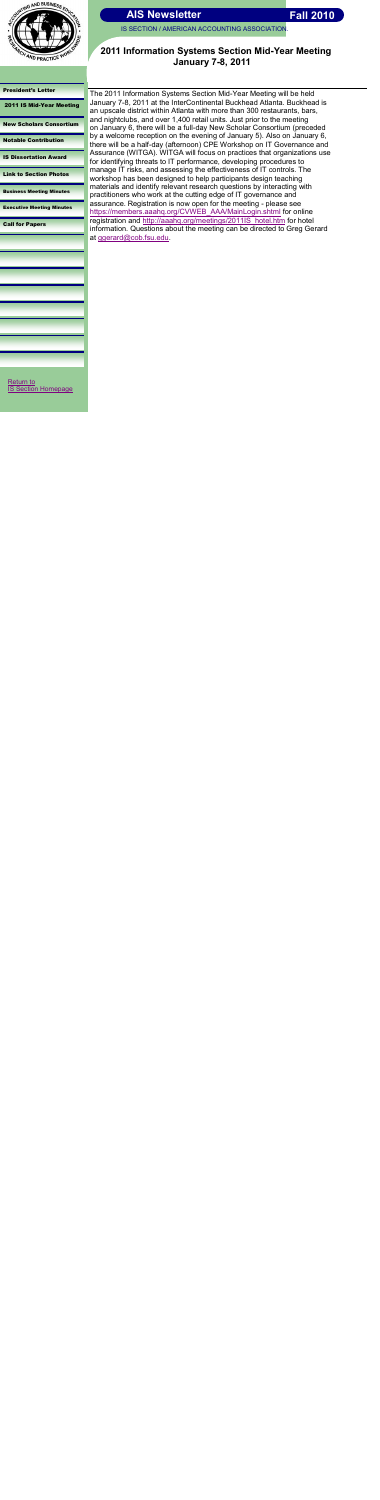

IS SECTION / AMERICAN ACCOUNTING ASSOCIATION.

#### [President's Letter](#page-0-0)

2011 IS Mid-Year Meeting

[New Scholars Consortium](#page-2-0)

[Notable Contribution](#page-3-0)

[IS Dissertation Award](#page-4-0)

[Return to](http://aaahq.org/infosys/index.html)  **[IS Section Homepage](http://aaahq.org/infosys/index.html)** 

[Link to Section Photos](#page-5-0)

[Business Meeting Minutes](#page-6-0)

[Executive Meeting Minutes](#page-7-0)

[Call for Papers](#page-8-0)

### **2011 Information Systems Section Mid-Year Meeting January 7-8, 2011**

The 2011 Information Systems Section Mid-Year Meeting will be held January 7-8, 2011 at the InterContinental Buckhead Atlanta. Buckhead is an upscale district within Atlanta with more than 300 restaurants, bars, and nightclubs, and over 1,400 retail units. Just prior to the meeting on January 6, there will be a full-day New Scholar Consortium (preceded by a welcome reception on the evening of January 5). Also on January 6, there will be a half-day (afternoon) CPE Workshop on IT Governance and Assurance (WITGA). WITGA will focus on practices that organizations use for identifying threats to IT performance, developing procedures to manage IT risks, and assessing the effectiveness of IT controls. The workshop has been designed to help participants design teaching materials and identify relevant research questions by interacting with practitioners who work at the cutting edge of IT governance and assurance. Registration is now open for the meeting - please see [https://members.aaahq.org/CVWEB\\_AAA/MainLogin.shtml](https://members.aaahq.org/CVWEB_AAA/MainLogin.shtml) for online registration and [http://aaahq.org/meetings/2011IS\\_hotel.htm](http://aaahq.org/meetings/2011IS_hotel.htm) for hotel information. Questions about the meeting can be directed to Greg Gerard at [ggerard@cob.fsu.edu.](mailto:ggerard@cob.fsu.edu)

<span id="page-1-0"></span>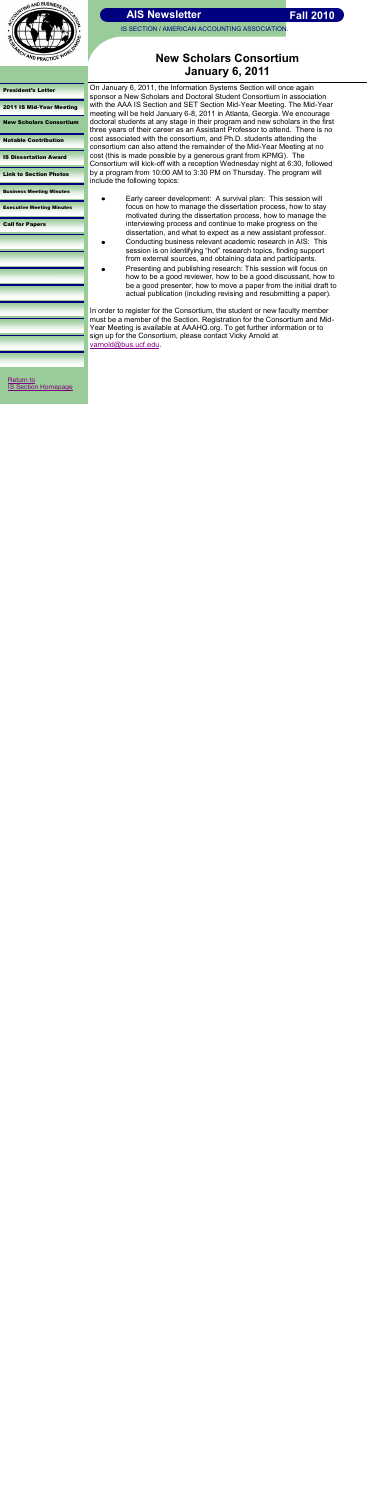

IS SECTION / AMERICAN ACCOUNTING ASSOCIATION.

#### [President's Letter](#page-0-0)

[2011 IS Mid-Year Meeting](#page-1-0)

New Scholars Consortium

[Notable Contribution](#page-3-0)

[IS Dissertation Award](#page-4-0)

[Link to Section Photos](#page-5-0)

[Business Meeting Minutes](#page-6-0)

[Executive Meeting Minutes](#page-7-0)

[Call for Papers](#page-8-0)

doctoral students at any stage in their program and new scholars in the first three years of their career as an Assistant Professor to attend. There is no cost associated with the consortium, and Ph.D. students attending the consortium can also attend the remainder of the Mid-Year Meeting at no cost (this is made possible by a generous grant from KPMG). The Consortium will kick-off with a reception Wednesday night at 6:30, followed by a program from 10:00 AM to 3:30 PM on Thursday. The program will include the following topics:  $\bullet$ 

## **New Scholars Consortium January 6, 2011**

On January 6, 2011, the Information Systems Section will once again sponsor a New Scholars and Doctoral Student Consortium in association with the AAA IS Section and SET Section Mid-Year Meeting. The Mid-Year meeting will be held January 6-8, 2011 in Atlanta, Georgia. We encourage

[Return to](http://aaahq.org/infosys/index.html)  **[IS Section Homepage](http://aaahq.org/infosys/index.html)** 

<span id="page-2-0"></span>

- Early career development: A survival plan: This session will focus on how to manage the dissertation process, how to stay motivated during the dissertation process, how to manage the interviewing process and continue to make progress on the dissertation, and what to expect as a new assistant professor.
- Conducting business relevant academic research in AIS: This session is on identifying "hot" research topics, finding support from external sources, and obtaining data and participants.
- Presenting and publishing research: This session will focus on how to be a good reviewer, how to be a good discussant, how to be a good presenter, how to move a paper from the initial draft to actual publication (including revising and resubmitting a paper).

In order to register for the Consortium, the student or new faculty member must be a member of the Section. Registration for the Consortium and Mid-Year Meeting is available at AAAHQ.org. To get further information or to sign up for the Consortium, please contact Vicky Arnold at [varnold@bus.ucf.edu.](mailto:varnold@bus.ucf.edu)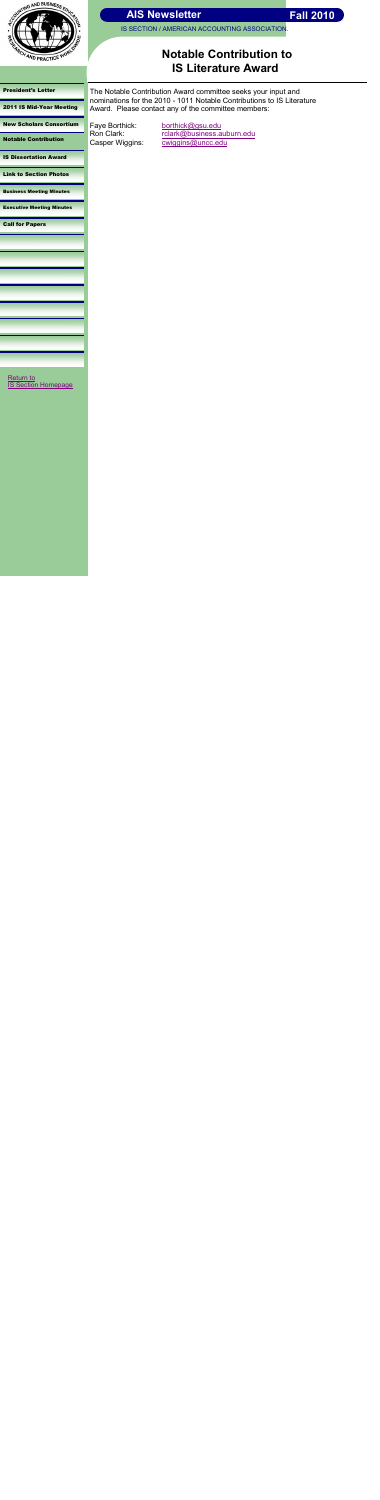

IS SECTION / AMERICAN ACCOUNTING ASSOCIATION.

#### [President's Letter](#page-0-0)

[2011 IS Mid-Year Meeting](#page-1-0)

[New Scholars Consortium](#page-2-0)

Notable Contribution

[IS Dissertation Award](#page-4-0)

[Link to Section Photos](#page-5-0)

[Business Meeting Minutes](#page-6-0)

[Executive Meeting Minutes](#page-7-0)

[Call for Papers](#page-8-0)

## **Notable Contribution to IS Literature Award**

[Return to](http://aaahq.org/infosys/index.html)  **[IS Section Homepage](http://aaahq.org/infosys/index.html)** 

The Notable Contribution Award committee seeks your input and nominations for the 2010 - 1011 Notable Contributions to IS Literature Award. Please contact any of the committee members:

Faye Borthick: [borthick@gsu.edu](mailto:borthick@gsu.edu)

Ron Clark: [rclark@business.auburn.edu](mailto:rclark@business.auburn.edu) Casper Wiggins: [cwiggins@uncc.edu](mailto:cwiggins@uncc.edu)

<span id="page-3-0"></span>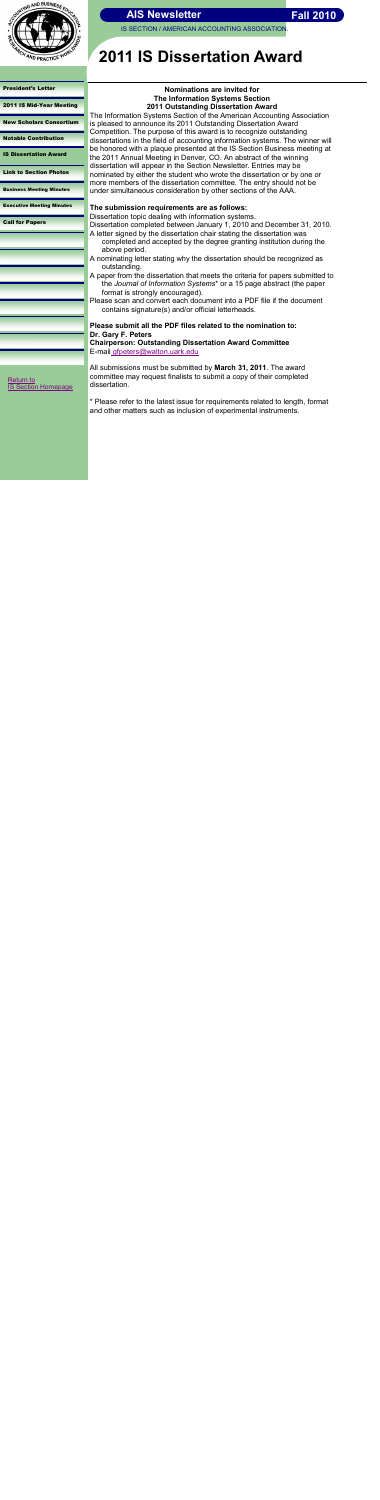

IS SECTION / AMERICAN ACCOUNTING ASSOCIATION.

[President's Letter](#page-0-0) 

[2011 IS Mid-Year Meeting](#page-1-0)

[New Scholars Consortium](#page-2-0)

[Notable Contribution](#page-3-0)

[Return to](http://aaahq.org/infosys/index.html)  **[IS Section Homepage](http://aaahq.org/infosys/index.html)** 

<span id="page-4-0"></span>

IS Dissertation Award

[Link to Section Photos](#page-5-0)

[Business Meeting Minutes](#page-6-0)

[Executive Meeting Minutes](#page-7-0)

[Call for Papers](#page-8-0)

# **2011 IS Dissertation Award**

**Nominations are invited for The Information Systems Section 2011 Outstanding Dissertation Award**

The Information Systems Section of the American Accounting Association is pleased to announce its 2011 Outstanding Dissertation Award Competition. The purpose of this award is to recognize outstanding dissertations in the field of accounting information systems. The winner will be honored with a plaque presented at the IS Section Business meeting at the 2011 Annual Meeting in Denver, CO. An abstract of the winning dissertation will appear in the Section Newsletter. Entries may be nominated by either the student who wrote the dissertation or by one or more members of the dissertation committee. The entry should not be under simultaneous consideration by other sections of the AAA.

#### **The submission requirements are as follows:**

Dissertation topic dealing with information systems.

Dissertation completed between January 1, 2010 and December 31, 2010. A letter signed by the dissertation chair stating the dissertation was

- completed and accepted by the degree granting institution during the above period.
- A nominating letter stating why the dissertation should be recognized as outstanding.
- A paper from the dissertation that meets the criteria for papers submitted to the *Journal of Information Systems*\* or a 15 page abstract (the paper format is strongly encouraged).
- Please scan and convert each document into a PDF file if the document contains signature(s) and/or official letterheads.

### **Please submit all the PDF files related to the nomination to: Dr. Gary F. Peters**

**Chairperson: Outstanding Dissertation Award Committee** E-mail [gfpeters@walton.uark.edu](mailto:gfpeters@walton.uark.edu)

All submissions must be submitted by **March 31, 2011**. The award committee may request finalists to submit a copy of their completed dissertation.

\* Please refer to the latest issue for requirements related to length, format and other matters such as inclusion of experimental instruments.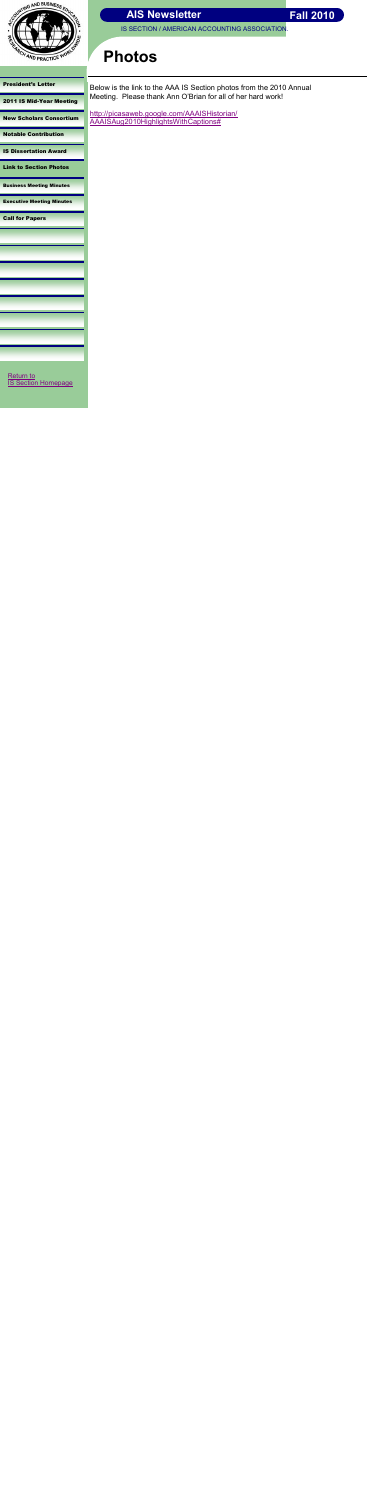

IS SECTION / AMERICAN ACCOUNTING ASSOCIATION.

[President's Letter](#page-0-0) 

[2011 IS Mid-Year Meeting](#page-1-0)

[New Scholars Consortium](#page-2-0)

[Notable Contribution](#page-3-0)

[IS Dissertation Award](#page-4-0)

Link to Section Photos

[Business Meeting Minutes](#page-6-0)

[Executive Meeting Minutes](#page-7-0)

[Call for Papers](#page-8-0)

# **Photos**

Below is the link to the AAA IS Section photos from the 2010 Annual Meeting. Please thank Ann O'Brian for all of her hard work!

[http://picasaweb.google.com/AAAISHistorian/](http://picasaweb.google.com/AAAISHistorian/AAAISAug2010HighlightsWithCaptions) [AAAISAug2010HighlightsWithCaptions#](http://picasaweb.google.com/AAAISHistorian/AAAISAug2010HighlightsWithCaptions)

<span id="page-5-0"></span>

[Return to](http://aaahq.org/infosys/index.html)  [IS Section Homepage](http://aaahq.org/infosys/index.html)

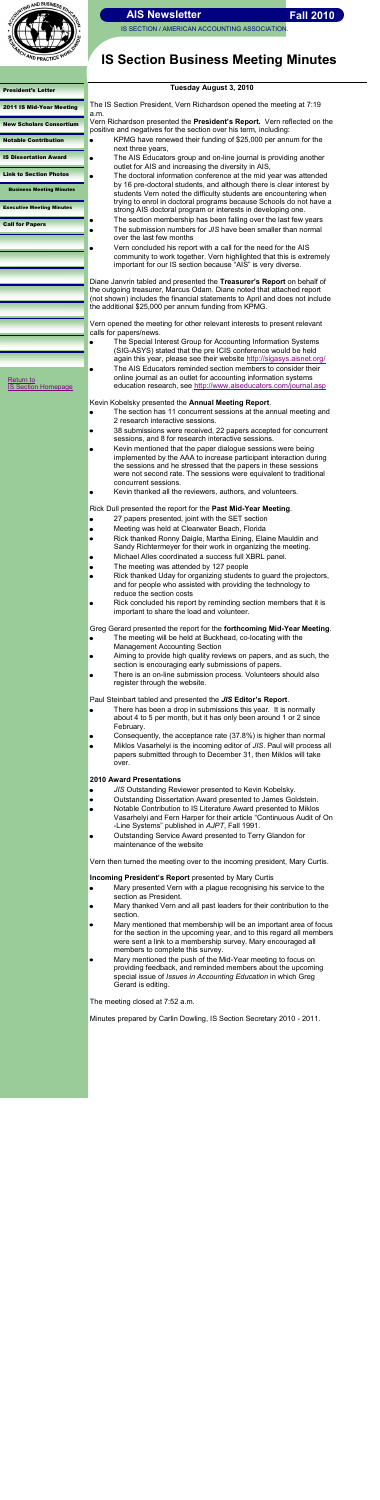

IS SECTION / AMERICAN ACCOUNTING ASSOCIATION

| <b>President's Letter</b>               | Tuesda                                                                 |
|-----------------------------------------|------------------------------------------------------------------------|
| 2011 IS Mid-Year Meeting                | The IS Section President, Vern<br>a.m.                                 |
| <b>New Scholars Consortium</b>          | Vern Richardson presented the<br>positive and negatives for the se     |
| <b>Notable Contribution</b>             | KPMG have renewed the                                                  |
| <b>IS Dissertation Award</b>            | next three years,<br>The AIS Educators group                           |
| <b>Link to Section Photos</b>           | outlet for AIS and increas<br>The doctoral information                 |
| <b>Business Meeting Minutes</b>         | by 16 pre-doctoral stude<br>students Vern noted the                    |
| <b>Executive Meeting Minutes</b>        | trying to enrol in doctoral<br>strong AIS doctoral prog                |
| <b>Call for Papers</b>                  | The section membership                                                 |
|                                         | The submission numbers<br>over the last few months                     |
|                                         | Vern concluded his repo                                                |
|                                         | community to work toget<br>important for our IS secti                  |
|                                         |                                                                        |
|                                         | Diane Janvrin tabled and preser                                        |
|                                         | the outgoing treasurer, Marcus (<br>(not shown) includes the financial |
|                                         | the additional \$25,000 per annu                                       |
|                                         | Vern opened the meeting for oth                                        |
|                                         | calls for papers/news.<br>The Special Interest Gro                     |
|                                         | (SIG-ASYS) stated that t                                               |
|                                         | again this year, please s                                              |
|                                         | The AIS Educators remir                                                |
| Return to<br><b>IS Section Homepage</b> | online journal as an outle<br>education research, see                  |
|                                         | Kevin Kobelsky presented the A                                         |
|                                         | The section has 11 conc                                                |
|                                         | 2 research interactive se                                              |
|                                         | 38 submissions were red                                                |
|                                         | sessions, and 8 for resea<br>Kevin mentioned that the                  |
|                                         | implemented by the AAA                                                 |
|                                         | the sessions and he stre                                               |
|                                         | were not second rate. Th<br>concurrent sessions.                       |
|                                         | Kevin thanked all the rev                                              |
|                                         | Rick Dull presented the report fo                                      |
|                                         | 27 papers presented, joi                                               |
|                                         | Meeting was held at Clea                                               |
|                                         | Rick thanked Ronny Dai                                                 |
|                                         | Sandy Richtermeyer for<br>Michael Alles coordinate                     |
|                                         | The meeting was attend                                                 |
|                                         | Rick thanked Uday for or                                               |
|                                         | and for people who assis                                               |

## **IS Section Business Meeting Minutes**

### **Tuesday August 3, 2010**

Richardson opened the meeting at 7:19

**President's Report.** Vern reflected on the ection over his term, including:

- eir funding of \$25,000 per annum for the
- p and on-line journal is providing another ising the diversity in AIS,
	- conference at the mid year was attended Ints, and although there is clear interest by difficulty students are encountering when I programs because Schools do not have a ram or interests in developing one.
- the shas been falling over the last few years s for *JIS* have been smaller than normal
- ort with a call for the need for the AIS ther. Vern highlighted that this is extremely ion because "AIS" is very diverse.

nted the **Treasurer's Report** on behalf of Odam. Diane noted that attached report ial statements to April and does not include im funding from KPMG.

her relevant interests to present relevant

- bup for Accounting Information Systems the pre ICIS conference would be held see their website <http://sigasys.aisnet.org/>
- nded section members to consider their et for accounting information systems http://www.aiseducators.com/journal.asp

**Annual Meeting Report.** 

- current sessions at the annual meeting and essions.
- ceived, 22 papers accepted for concurrent arch interactive sessions.
- e paper dialogue sessions were being A to increase participant interaction during essed that the papers in these sessions he sessions were equivalent to traditional
- viewers, authors, and volunteers.

or the Past Mid-Year Meeting.

- int with the SET section
- arwater Beach, Florida
- gle, Martha Eining, Elaine Mauldin and their work in organizing the meeting.
- ed a success full XBRL panel.
- led by 127 people
- rganizing students to guard the projectors, isted with providing the technology to reduce the section costs
- Rick concluded his report by reminding section members that it is  $\bullet$ important to share the load and volunteer.

- $\bullet$ *JIS* Outstanding Reviewer presented to Kevin Kobelsky.
- Outstanding Dissertation Award presented to James Goldstein.  $\bullet$
- Notable Contribution to IS Literature Award presented to Miklos  $\bullet$ Vasarhelyi and Fern Harper for their article "Continuous Audit of On -Line Systems" published in *AJPT*, Fall 1991.
- Outstanding Service Award presented to Terry Glandon for  $\bullet$ maintenance of the website

Greg Gerard presented the report for the **forthcoming Mid-Year Meeting**.

- The meeting will be held at Buckhead, co-locating with the Management Accounting Section
- Aiming to provide high quality reviews on papers, and as such, the section is encouraging early submissions of papers.
- There is an on-line submission process. Volunteers should also register through the website.

Paul Steinbart tabled and presented the *JIS* **Editor's Report**.

- There has been a drop in submissions this year. It is normally  $\bullet$ about 4 to 5 per month, but it has only been around 1 or 2 since February.
- Consequently, the acceptance rate (37.8%) is higher than normal
- Miklos Vasarhelyi is the incoming editor of *JIS*. Paul will process all  $\bullet$ papers submitted through to December 31, then Miklos will take over.

### **2010 Award Presentations**

Vern then turned the meeting over to the incoming president, Mary Curtis.

### **Incoming President's Report** presented by Mary Curtis

- Mary presented Vern with a plague recognising his service to the section as President.
- Mary thanked Vern and all past leaders for their contribution to the section.
- Mary mentioned that membership will be an important area of focus for the section in the upcoming year, and to this regard all members were sent a link to a membership survey. Mary encouraged all members to complete this survey.
- <span id="page-6-0"></span>Mary mentioned the push of the Mid-Year meeting to focus on providing feedback, and reminded members about the upcoming special issue of *Issues in Accounting Education* in which Greg Gerard is editing.

The meeting closed at 7:52 a.m.

Minutes prepared by Carlin Dowling, IS Section Secretary 2010 - 2011.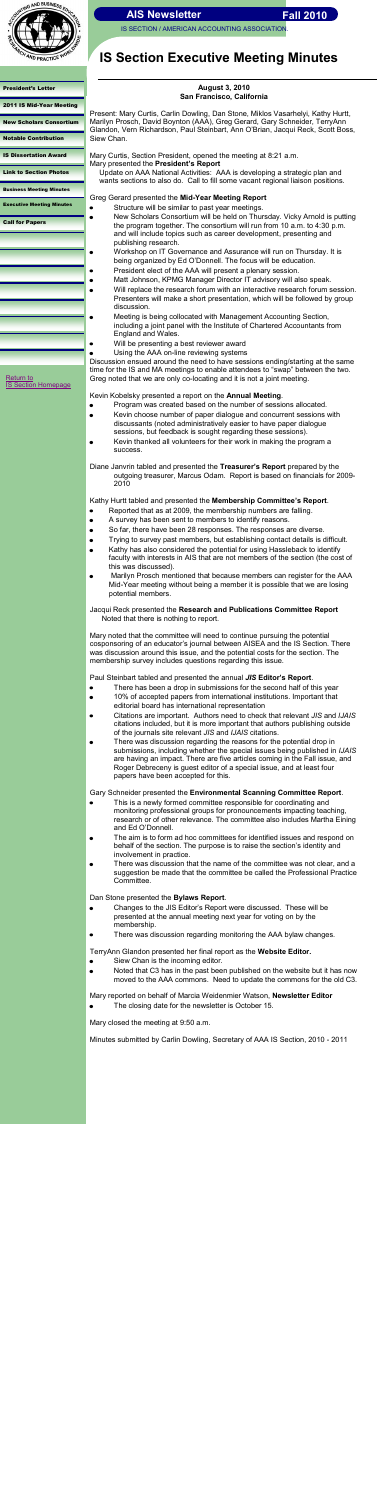IS SECTION / AMERICAN ACCOUNTING ASSOCIATION



[President's Letter](#page-0-0) 

[2011 IS Mid-Year Meeting](#page-1-0)

[New Scholars Consortium](#page-2-0)

[Notable Contribution](#page-3-0)

[IS Dissertation Award](#page-4-0)

[Link to Section Photos](#page-5-0)

[Business Meeting Minutes](#page-6-0)

Executive Meeting Minutes

 $\bullet$ 

 $\bullet$  $\bullet$ 

 $\bullet$ 

[Call for Papers](#page-8-0)

## **IS Section Executive Meeting Minutes**

[Return to](http://aaahq.org/infosys/index.html)  [IS Section Homepage](http://aaahq.org/infosys/index.html)

#### **August 3, 2010 San Francisco, California**

Present: Mary Curtis, Carlin Dowling, Dan Stone, Miklos Vasarhelyi, Kathy Hurtt, Marilyn Prosch, David Boynton (AAA), Greg Gerard, Gary Schneider, TerryAnn Glandon, Vern Richardson, Paul Steinbart, Ann O'Brian, Jacqui Reck, Scott Boss, Siew Chan.

Mary Curtis, Section President, opened the meeting at 8:21 a.m. Mary presented the **President's Report**

Update on AAA National Activities: AAA is developing a strategic plan and wants sections to also do. Call to fill some vacant regional liaison positions.

### Greg Gerard presented the **Mid-Year Meeting Report**

- Structure will be similar to past year meetings.
- New Scholars Consortium will be held on Thursday. Vicky Arnold is putting the program together. The consortium will run from 10 a.m. to 4:30 p.m. and will include topics such as career development, presenting and publishing research.
- Workshop on IT Governance and Assurance will run on Thursday. It is being organized by Ed O'Donnell. The focus will be education. President elect of the AAA will present a plenary session.
- Matt Johnson, KPMG Manager Director IT advisory will also speak.
- Will replace the research forum with an interactive research forum session. Presenters will make a short presentation, which will be followed by group discussion.
- Meeting is being collocated with Management Accounting Section, including a joint panel with the Institute of Chartered Accountants from England and Wales.
- Will be presenting a best reviewer award
- Using the AAA on-line reviewing systems

Discussion ensued around the need to have sessions ending/starting at the same time for the IS and MA meetings to enable attendees to "swap" between the two. Greg noted that we are only co-locating and it is not a joint meeting.

Kevin Kobelsky presented a report on the **Annual Meeting**.

- Program was created based on the number of sessions allocated.  $\bullet$
- Kevin choose number of paper dialogue and concurrent sessions with discussants (noted administratively easier to have paper dialogue sessions, but feedback is sought regarding these sessions).
- Kevin thanked all volunteers for their work in making the program a success.

Diane Janvrin tabled and presented the **Treasurer's Report** prepared by the outgoing treasurer, Marcus Odam. Report is based on financials for 2009- 2010

Kathy Hurtt tabled and presented the **Membership Committee's Report**.

- Reported that as at 2009, the membership numbers are falling.
- A survey has been sent to members to identify reasons.
- So far, there have been 28 responses. The responses are diverse.  $\bullet$
- Trying to survey past members, but establishing contact details is difficult.
- Kathy has also considered the potential for using Hassleback to identify faculty with interests in AIS that are not members of the section (the cost of this was discussed).
- Marilyn Prosch mentioned that because members can register for the AAA Mid-Year meeting without being a member it is possible that we are losing potential members.

Jacqui Reck presented the **Research and Publications Committee Report** Noted that there is nothing to report.

Mary noted that the committee will need to continue pursuing the potential cosponsoring of an educator's journal between AISEA and the IS Section. There was discussion around this issue, and the potential costs for the section. The membership survey includes questions regarding this issue.

Paul Steinbart tabled and presented the annual *JIS* **Editor's Report**.

- There has been a drop in submissions for the second half of this year
- 10% of accepted papers from international institutions. Important that  $\bullet$ editorial board has international representation
- Citations are important. Authors need to check that relevant *JIS* and *IJAIS* citations included, but it is more important that authors publishing outside of the journals site relevant *JIS* and *IJAIS* citations.
- There was discussion regarding the reasons for the potential drop in submissions, including whether the special issues being published in *IJAIS* are having an impact. There are five articles coming in the Fall issue, and Roger Debreceny is guest editor of a special issue, and at least four papers have been accepted for this.

Gary Schneider presented the **Environmental Scanning Committee Report**.

- This is a newly formed committee responsible for coordinating and monitoring professional groups for pronouncements impacting teaching, research or of other relevance. The committee also includes Martha Eining and Ed O'Donnell.
- The aim is to form ad hoc committees for identified issues and respond on behalf of the section. The purpose is to raise the section's identity and involvement in practice.
- There was discussion that the name of the committee was not clear, and a suggestion be made that the committee be called the Professional Practice Committee.

Dan Stone presented the **Bylaws Report**.

- Changes to the JIS Editor's Report were discussed. These will be presented at the annual meeting next year for voting on by the membership.
- There was discussion regarding monitoring the AAA bylaw changes.

TerryAnn Glandon presented her final report as the **Website Editor.**

- Siew Chan is the incoming editor.  $\bullet$
- <span id="page-7-0"></span>Noted that C3 has in the past been published on the website but it has now  $\bullet$ moved to the AAA commons. Need to update the commons for the old C3.

Mary reported on behalf of Marcia Weidenmier Watson, **Newsletter Editor**

The closing date for the newsletter is October 15.

Mary closed the meeting at 9:50 a.m.

Minutes submitted by Carlin Dowling, Secretary of AAA IS Section, 2010 - 2011